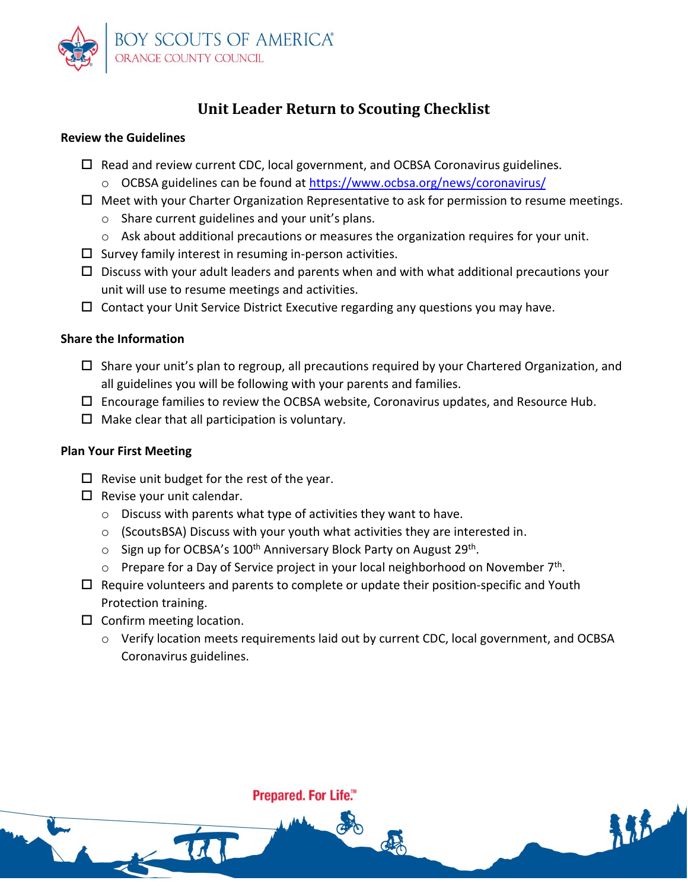

# **Unit Leader Return to Scouting Checklist**

### **Review the Guidelines**

- $\Box$  Read and review current CDC, local government, and OCBSA Coronavirus guidelines. o OCBSA guidelines can be found at<https://www.ocbsa.org/news/coronavirus/>
- $\Box$  Meet with your Charter Organization Representative to ask for permission to resume meetings.
	- o Share current guidelines and your unit's plans.
	- $\circ$  Ask about additional precautions or measures the organization requires for your unit.
- $\square$  Survey family interest in resuming in-person activities.
- $\square$  Discuss with your adult leaders and parents when and with what additional precautions your unit will use to resume meetings and activities.
- $\Box$  Contact your Unit Service District Executive regarding any questions you may have.

#### **Share the Information**

- $\Box$  Share your unit's plan to regroup, all precautions required by your Chartered Organization, and all guidelines you will be following with your parents and families.
- $\square$  Encourage families to review the OCBSA website, Coronavirus updates, and Resource Hub.
- $\Box$  Make clear that all participation is voluntary.

### **Plan Your First Meeting**

- $\Box$  Revise unit budget for the rest of the year.
- $\square$  Revise your unit calendar.
	- o Discuss with parents what type of activities they want to have.
	- o (ScoutsBSA) Discuss with your youth what activities they are interested in.
	- o Sign up for OCBSA's 100<sup>th</sup> Anniversary Block Party on August 29<sup>th</sup>.
	- $\circ$  Prepare for a Day of Service project in your local neighborhood on November 7<sup>th</sup>.
- $\Box$  Require volunteers and parents to complete or update their position-specific and Youth Protection training.
- $\square$  Confirm meeting location.

164

o Verify location meets requirements laid out by current CDC, local government, and OCBSA Coronavirus guidelines.

Prepared. For Life.™